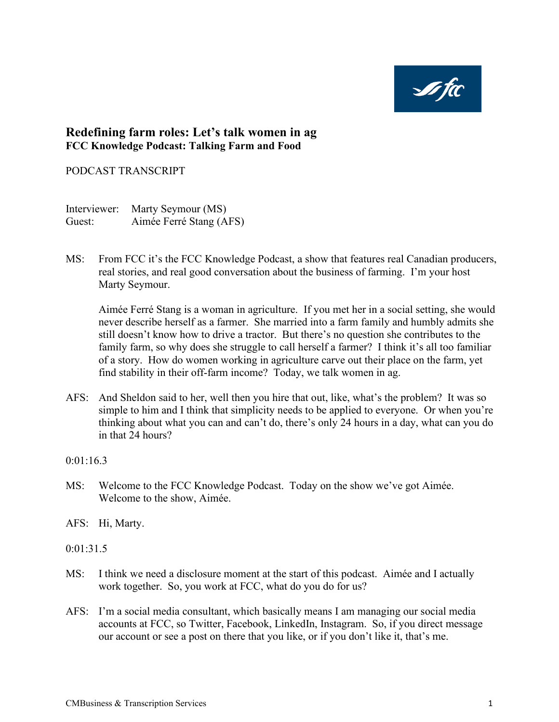

# **Redefining farm roles: Let's talk women in ag FCC Knowledge Podcast: Talking Farm and Food**

PODCAST TRANSCRIPT

Interviewer: Marty Seymour (MS) Guest: Aimée Ferré Stang (AFS)

MS: From FCC it's the FCC Knowledge Podcast, a show that features real Canadian producers, real stories, and real good conversation about the business of farming. I'm your host Marty Seymour.

Aimée Ferré Stang is a woman in agriculture. If you met her in a social setting, she would never describe herself as a farmer. She married into a farm family and humbly admits she still doesn't know how to drive a tractor. But there's no question she contributes to the family farm, so why does she struggle to call herself a farmer? I think it's all too familiar of a story. How do women working in agriculture carve out their place on the farm, yet find stability in their off-farm income? Today, we talk women in ag.

AFS: And Sheldon said to her, well then you hire that out, like, what's the problem? It was so simple to him and I think that simplicity needs to be applied to everyone. Or when you're thinking about what you can and can't do, there's only 24 hours in a day, what can you do in that 24 hours?

#### 0:01:16.3

- MS: Welcome to the FCC Knowledge Podcast. Today on the show we've got Aimée. Welcome to the show, Aimée.
- AFS: Hi, Marty.
- 0:01:31.5
- MS: I think we need a disclosure moment at the start of this podcast. Aimée and I actually work together. So, you work at FCC, what do you do for us?
- AFS: I'm a social media consultant, which basically means I am managing our social media accounts at FCC, so Twitter, Facebook, LinkedIn, Instagram. So, if you direct message our account or see a post on there that you like, or if you don't like it, that's me.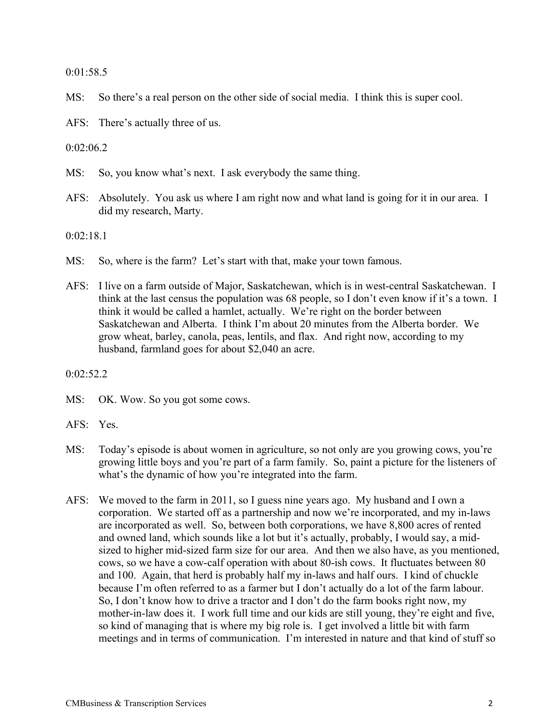0:01:58.5

MS: So there's a real person on the other side of social media. I think this is super cool.

AFS: There's actually three of us.

#### $0:02:06.2$

- MS: So, you know what's next. I ask everybody the same thing.
- AFS: Absolutely. You ask us where I am right now and what land is going for it in our area. I did my research, Marty.

#### 0:02:18.1

- MS: So, where is the farm? Let's start with that, make your town famous.
- AFS: I live on a farm outside of Major, Saskatchewan, which is in west-central Saskatchewan. I think at the last census the population was 68 people, so I don't even know if it's a town. I think it would be called a hamlet, actually. We're right on the border between Saskatchewan and Alberta. I think I'm about 20 minutes from the Alberta border. We grow wheat, barley, canola, peas, lentils, and flax. And right now, according to my husband, farmland goes for about \$2,040 an acre.

 $0:02:52.2$ 

- MS: OK. Wow. So you got some cows.
- AFS: Yes.
- MS: Today's episode is about women in agriculture, so not only are you growing cows, you're growing little boys and you're part of a farm family. So, paint a picture for the listeners of what's the dynamic of how you're integrated into the farm.
- AFS: We moved to the farm in 2011, so I guess nine years ago. My husband and I own a corporation. We started off as a partnership and now we're incorporated, and my in-laws are incorporated as well. So, between both corporations, we have 8,800 acres of rented and owned land, which sounds like a lot but it's actually, probably, I would say, a midsized to higher mid-sized farm size for our area. And then we also have, as you mentioned, cows, so we have a cow-calf operation with about 80-ish cows. It fluctuates between 80 and 100. Again, that herd is probably half my in-laws and half ours. I kind of chuckle because I'm often referred to as a farmer but I don't actually do a lot of the farm labour. So, I don't know how to drive a tractor and I don't do the farm books right now, my mother-in-law does it. I work full time and our kids are still young, they're eight and five, so kind of managing that is where my big role is. I get involved a little bit with farm meetings and in terms of communication. I'm interested in nature and that kind of stuff so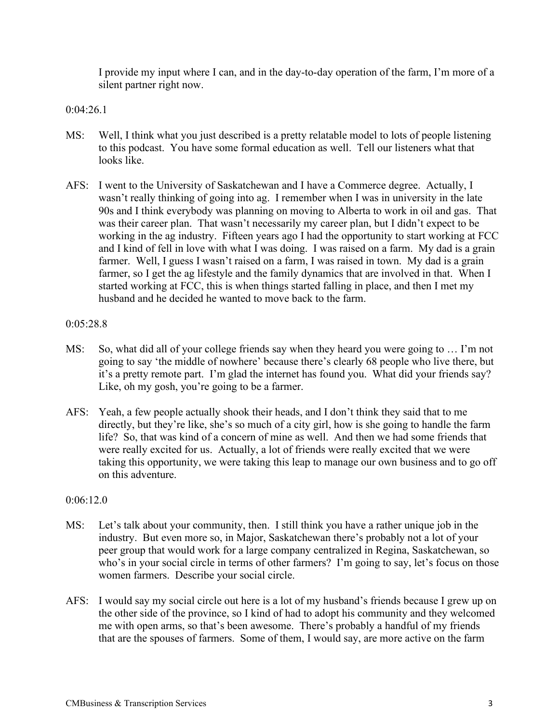I provide my input where I can, and in the day-to-day operation of the farm, I'm more of a silent partner right now.

## 0:04:26.1

- MS: Well, I think what you just described is a pretty relatable model to lots of people listening to this podcast. You have some formal education as well. Tell our listeners what that looks like.
- AFS: I went to the University of Saskatchewan and I have a Commerce degree. Actually, I wasn't really thinking of going into ag. I remember when I was in university in the late 90s and I think everybody was planning on moving to Alberta to work in oil and gas. That was their career plan. That wasn't necessarily my career plan, but I didn't expect to be working in the ag industry. Fifteen years ago I had the opportunity to start working at FCC and I kind of fell in love with what I was doing. I was raised on a farm. My dad is a grain farmer. Well, I guess I wasn't raised on a farm, I was raised in town. My dad is a grain farmer, so I get the ag lifestyle and the family dynamics that are involved in that. When I started working at FCC, this is when things started falling in place, and then I met my husband and he decided he wanted to move back to the farm.

#### 0:05:28.8

- MS: So, what did all of your college friends say when they heard you were going to … I'm not going to say 'the middle of nowhere' because there's clearly 68 people who live there, but it's a pretty remote part. I'm glad the internet has found you. What did your friends say? Like, oh my gosh, you're going to be a farmer.
- AFS: Yeah, a few people actually shook their heads, and I don't think they said that to me directly, but they're like, she's so much of a city girl, how is she going to handle the farm life? So, that was kind of a concern of mine as well. And then we had some friends that were really excited for us. Actually, a lot of friends were really excited that we were taking this opportunity, we were taking this leap to manage our own business and to go off on this adventure.

#### 0:06:12.0

- MS: Let's talk about your community, then. I still think you have a rather unique job in the industry. But even more so, in Major, Saskatchewan there's probably not a lot of your peer group that would work for a large company centralized in Regina, Saskatchewan, so who's in your social circle in terms of other farmers? I'm going to say, let's focus on those women farmers. Describe your social circle.
- AFS: I would say my social circle out here is a lot of my husband's friends because I grew up on the other side of the province, so I kind of had to adopt his community and they welcomed me with open arms, so that's been awesome. There's probably a handful of my friends that are the spouses of farmers. Some of them, I would say, are more active on the farm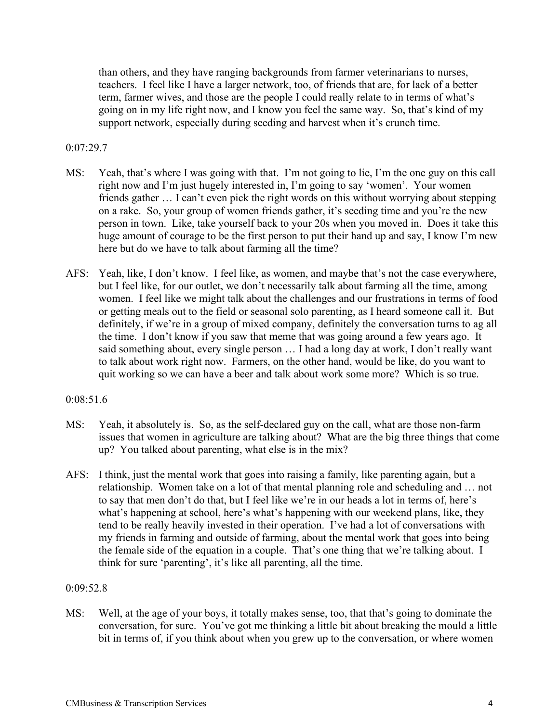than others, and they have ranging backgrounds from farmer veterinarians to nurses, teachers. I feel like I have a larger network, too, of friends that are, for lack of a better term, farmer wives, and those are the people I could really relate to in terms of what's going on in my life right now, and I know you feel the same way. So, that's kind of my support network, especially during seeding and harvest when it's crunch time.

#### $0:07:29.7$

- MS: Yeah, that's where I was going with that. I'm not going to lie, I'm the one guy on this call right now and I'm just hugely interested in, I'm going to say 'women'. Your women friends gather … I can't even pick the right words on this without worrying about stepping on a rake. So, your group of women friends gather, it's seeding time and you're the new person in town. Like, take yourself back to your 20s when you moved in. Does it take this huge amount of courage to be the first person to put their hand up and say, I know I'm new here but do we have to talk about farming all the time?
- AFS: Yeah, like, I don't know. I feel like, as women, and maybe that's not the case everywhere, but I feel like, for our outlet, we don't necessarily talk about farming all the time, among women. I feel like we might talk about the challenges and our frustrations in terms of food or getting meals out to the field or seasonal solo parenting, as I heard someone call it. But definitely, if we're in a group of mixed company, definitely the conversation turns to ag all the time. I don't know if you saw that meme that was going around a few years ago. It said something about, every single person … I had a long day at work, I don't really want to talk about work right now. Farmers, on the other hand, would be like, do you want to quit working so we can have a beer and talk about work some more? Which is so true.

#### 0:08:51.6

- MS: Yeah, it absolutely is. So, as the self-declared guy on the call, what are those non-farm issues that women in agriculture are talking about? What are the big three things that come up? You talked about parenting, what else is in the mix?
- AFS: I think, just the mental work that goes into raising a family, like parenting again, but a relationship. Women take on a lot of that mental planning role and scheduling and … not to say that men don't do that, but I feel like we're in our heads a lot in terms of, here's what's happening at school, here's what's happening with our weekend plans, like, they tend to be really heavily invested in their operation. I've had a lot of conversations with my friends in farming and outside of farming, about the mental work that goes into being the female side of the equation in a couple. That's one thing that we're talking about. I think for sure 'parenting', it's like all parenting, all the time.

## 0:09:52.8

MS: Well, at the age of your boys, it totally makes sense, too, that that's going to dominate the conversation, for sure. You've got me thinking a little bit about breaking the mould a little bit in terms of, if you think about when you grew up to the conversation, or where women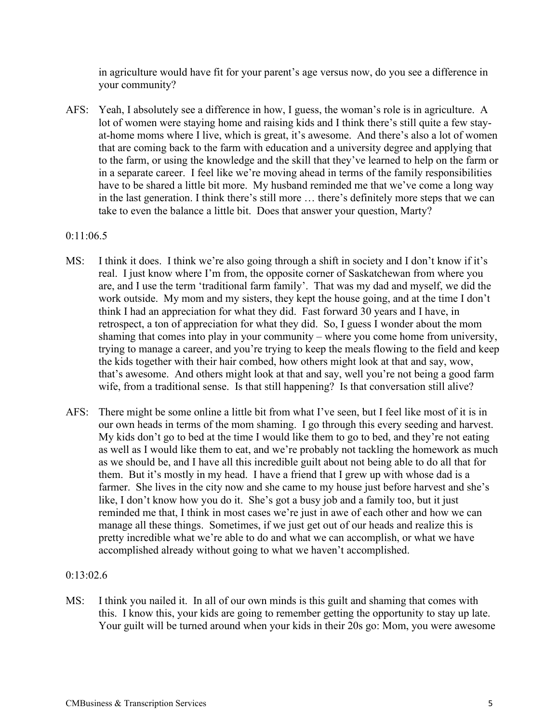in agriculture would have fit for your parent's age versus now, do you see a difference in your community?

AFS: Yeah, I absolutely see a difference in how, I guess, the woman's role is in agriculture. A lot of women were staying home and raising kids and I think there's still quite a few stayat-home moms where I live, which is great, it's awesome. And there's also a lot of women that are coming back to the farm with education and a university degree and applying that to the farm, or using the knowledge and the skill that they've learned to help on the farm or in a separate career. I feel like we're moving ahead in terms of the family responsibilities have to be shared a little bit more. My husband reminded me that we've come a long way in the last generation. I think there's still more … there's definitely more steps that we can take to even the balance a little bit. Does that answer your question, Marty?

# 0:11:06.5

- MS: I think it does. I think we're also going through a shift in society and I don't know if it's real. I just know where I'm from, the opposite corner of Saskatchewan from where you are, and I use the term 'traditional farm family'. That was my dad and myself, we did the work outside. My mom and my sisters, they kept the house going, and at the time I don't think I had an appreciation for what they did. Fast forward 30 years and I have, in retrospect, a ton of appreciation for what they did. So, I guess I wonder about the mom shaming that comes into play in your community – where you come home from university, trying to manage a career, and you're trying to keep the meals flowing to the field and keep the kids together with their hair combed, how others might look at that and say, wow, that's awesome. And others might look at that and say, well you're not being a good farm wife, from a traditional sense. Is that still happening? Is that conversation still alive?
- AFS: There might be some online a little bit from what I've seen, but I feel like most of it is in our own heads in terms of the mom shaming. I go through this every seeding and harvest. My kids don't go to bed at the time I would like them to go to bed, and they're not eating as well as I would like them to eat, and we're probably not tackling the homework as much as we should be, and I have all this incredible guilt about not being able to do all that for them. But it's mostly in my head. I have a friend that I grew up with whose dad is a farmer. She lives in the city now and she came to my house just before harvest and she's like, I don't know how you do it. She's got a busy job and a family too, but it just reminded me that, I think in most cases we're just in awe of each other and how we can manage all these things. Sometimes, if we just get out of our heads and realize this is pretty incredible what we're able to do and what we can accomplish, or what we have accomplished already without going to what we haven't accomplished.

## 0:13:02.6

MS: I think you nailed it. In all of our own minds is this guilt and shaming that comes with this. I know this, your kids are going to remember getting the opportunity to stay up late. Your guilt will be turned around when your kids in their 20s go: Mom, you were awesome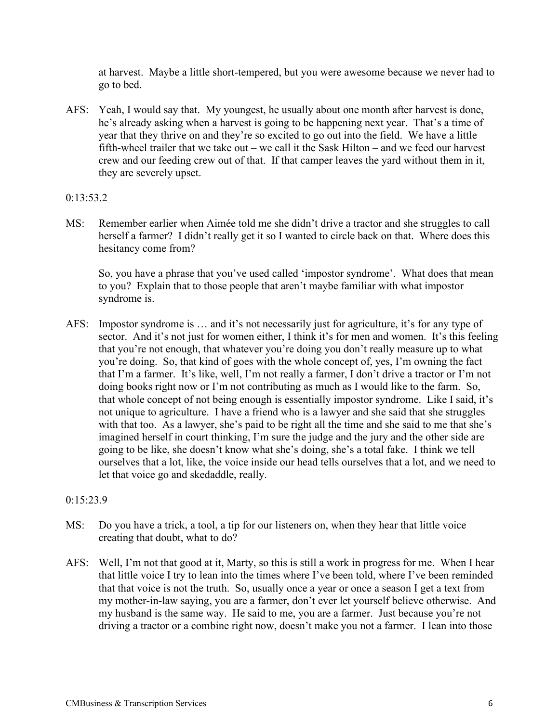at harvest. Maybe a little short-tempered, but you were awesome because we never had to go to bed.

AFS: Yeah, I would say that. My youngest, he usually about one month after harvest is done, he's already asking when a harvest is going to be happening next year. That's a time of year that they thrive on and they're so excited to go out into the field. We have a little fifth-wheel trailer that we take out – we call it the Sask Hilton – and we feed our harvest crew and our feeding crew out of that. If that camper leaves the yard without them in it, they are severely upset.

# 0:13:53.2

MS: Remember earlier when Aimée told me she didn't drive a tractor and she struggles to call herself a farmer? I didn't really get it so I wanted to circle back on that. Where does this hesitancy come from?

So, you have a phrase that you've used called 'impostor syndrome'. What does that mean to you? Explain that to those people that aren't maybe familiar with what impostor syndrome is.

AFS: Impostor syndrome is … and it's not necessarily just for agriculture, it's for any type of sector. And it's not just for women either, I think it's for men and women. It's this feeling that you're not enough, that whatever you're doing you don't really measure up to what you're doing. So, that kind of goes with the whole concept of, yes, I'm owning the fact that I'm a farmer. It's like, well, I'm not really a farmer, I don't drive a tractor or I'm not doing books right now or I'm not contributing as much as I would like to the farm. So, that whole concept of not being enough is essentially impostor syndrome. Like I said, it's not unique to agriculture. I have a friend who is a lawyer and she said that she struggles with that too. As a lawyer, she's paid to be right all the time and she said to me that she's imagined herself in court thinking, I'm sure the judge and the jury and the other side are going to be like, she doesn't know what she's doing, she's a total fake. I think we tell ourselves that a lot, like, the voice inside our head tells ourselves that a lot, and we need to let that voice go and skedaddle, really.

## 0:15:23.9

- MS: Do you have a trick, a tool, a tip for our listeners on, when they hear that little voice creating that doubt, what to do?
- AFS: Well, I'm not that good at it, Marty, so this is still a work in progress for me. When I hear that little voice I try to lean into the times where I've been told, where I've been reminded that that voice is not the truth. So, usually once a year or once a season I get a text from my mother-in-law saying, you are a farmer, don't ever let yourself believe otherwise. And my husband is the same way. He said to me, you are a farmer. Just because you're not driving a tractor or a combine right now, doesn't make you not a farmer. I lean into those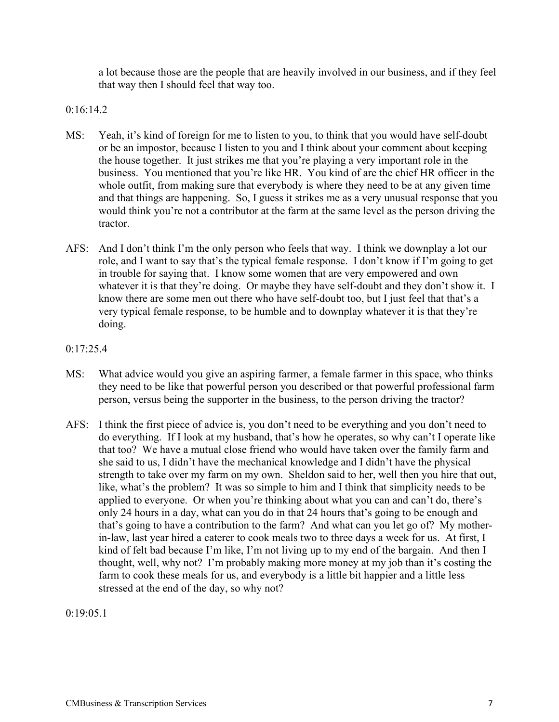a lot because those are the people that are heavily involved in our business, and if they feel that way then I should feel that way too.

0:16:14.2

- MS: Yeah, it's kind of foreign for me to listen to you, to think that you would have self-doubt or be an impostor, because I listen to you and I think about your comment about keeping the house together. It just strikes me that you're playing a very important role in the business. You mentioned that you're like HR. You kind of are the chief HR officer in the whole outfit, from making sure that everybody is where they need to be at any given time and that things are happening. So, I guess it strikes me as a very unusual response that you would think you're not a contributor at the farm at the same level as the person driving the tractor.
- AFS: And I don't think I'm the only person who feels that way. I think we downplay a lot our role, and I want to say that's the typical female response. I don't know if I'm going to get in trouble for saying that. I know some women that are very empowered and own whatever it is that they're doing. Or maybe they have self-doubt and they don't show it. I know there are some men out there who have self-doubt too, but I just feel that that's a very typical female response, to be humble and to downplay whatever it is that they're doing.

# 0:17:25.4

- MS: What advice would you give an aspiring farmer, a female farmer in this space, who thinks they need to be like that powerful person you described or that powerful professional farm person, versus being the supporter in the business, to the person driving the tractor?
- AFS: I think the first piece of advice is, you don't need to be everything and you don't need to do everything. If I look at my husband, that's how he operates, so why can't I operate like that too? We have a mutual close friend who would have taken over the family farm and she said to us, I didn't have the mechanical knowledge and I didn't have the physical strength to take over my farm on my own. Sheldon said to her, well then you hire that out, like, what's the problem? It was so simple to him and I think that simplicity needs to be applied to everyone. Or when you're thinking about what you can and can't do, there's only 24 hours in a day, what can you do in that 24 hours that's going to be enough and that's going to have a contribution to the farm? And what can you let go of? My motherin-law, last year hired a caterer to cook meals two to three days a week for us. At first, I kind of felt bad because I'm like, I'm not living up to my end of the bargain. And then I thought, well, why not? I'm probably making more money at my job than it's costing the farm to cook these meals for us, and everybody is a little bit happier and a little less stressed at the end of the day, so why not?

0:19:05.1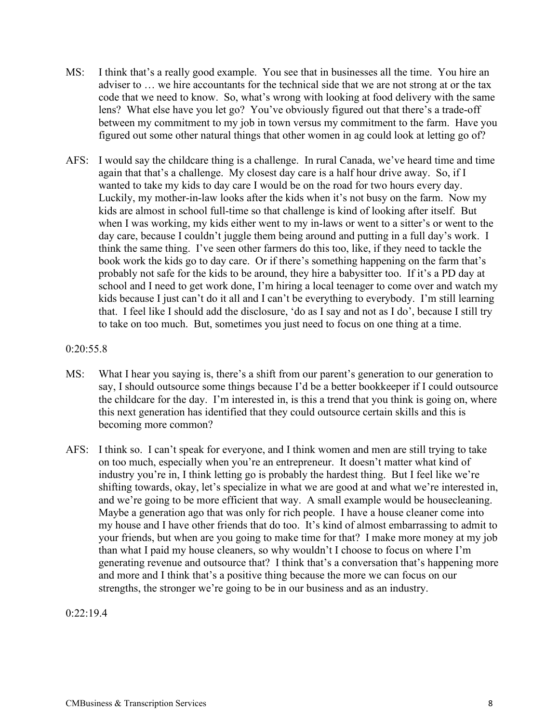- MS: I think that's a really good example. You see that in businesses all the time. You hire an adviser to … we hire accountants for the technical side that we are not strong at or the tax code that we need to know. So, what's wrong with looking at food delivery with the same lens? What else have you let go? You've obviously figured out that there's a trade-off between my commitment to my job in town versus my commitment to the farm. Have you figured out some other natural things that other women in ag could look at letting go of?
- AFS: I would say the childcare thing is a challenge. In rural Canada, we've heard time and time again that that's a challenge. My closest day care is a half hour drive away. So, if I wanted to take my kids to day care I would be on the road for two hours every day. Luckily, my mother-in-law looks after the kids when it's not busy on the farm. Now my kids are almost in school full-time so that challenge is kind of looking after itself. But when I was working, my kids either went to my in-laws or went to a sitter's or went to the day care, because I couldn't juggle them being around and putting in a full day's work. I think the same thing. I've seen other farmers do this too, like, if they need to tackle the book work the kids go to day care. Or if there's something happening on the farm that's probably not safe for the kids to be around, they hire a babysitter too. If it's a PD day at school and I need to get work done, I'm hiring a local teenager to come over and watch my kids because I just can't do it all and I can't be everything to everybody. I'm still learning that. I feel like I should add the disclosure, 'do as I say and not as I do', because I still try to take on too much. But, sometimes you just need to focus on one thing at a time.

## 0:20:55.8

- MS: What I hear you saying is, there's a shift from our parent's generation to our generation to say, I should outsource some things because I'd be a better bookkeeper if I could outsource the childcare for the day. I'm interested in, is this a trend that you think is going on, where this next generation has identified that they could outsource certain skills and this is becoming more common?
- AFS: I think so. I can't speak for everyone, and I think women and men are still trying to take on too much, especially when you're an entrepreneur. It doesn't matter what kind of industry you're in, I think letting go is probably the hardest thing. But I feel like we're shifting towards, okay, let's specialize in what we are good at and what we're interested in, and we're going to be more efficient that way. A small example would be housecleaning. Maybe a generation ago that was only for rich people. I have a house cleaner come into my house and I have other friends that do too. It's kind of almost embarrassing to admit to your friends, but when are you going to make time for that? I make more money at my job than what I paid my house cleaners, so why wouldn't I choose to focus on where I'm generating revenue and outsource that? I think that's a conversation that's happening more and more and I think that's a positive thing because the more we can focus on our strengths, the stronger we're going to be in our business and as an industry.

#### 0:22:19.4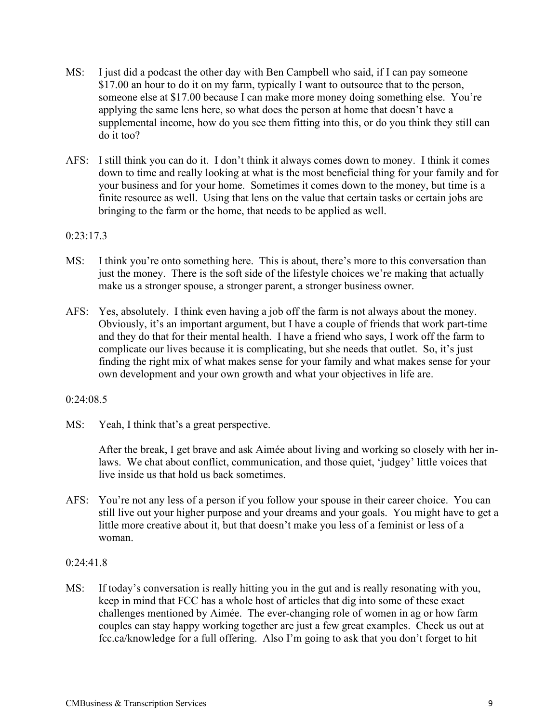- MS: I just did a podcast the other day with Ben Campbell who said, if I can pay someone \$17.00 an hour to do it on my farm, typically I want to outsource that to the person, someone else at \$17.00 because I can make more money doing something else. You're applying the same lens here, so what does the person at home that doesn't have a supplemental income, how do you see them fitting into this, or do you think they still can do it too?
- AFS: I still think you can do it. I don't think it always comes down to money. I think it comes down to time and really looking at what is the most beneficial thing for your family and for your business and for your home. Sometimes it comes down to the money, but time is a finite resource as well. Using that lens on the value that certain tasks or certain jobs are bringing to the farm or the home, that needs to be applied as well.

# 0:23:17.3

- MS: I think you're onto something here. This is about, there's more to this conversation than just the money. There is the soft side of the lifestyle choices we're making that actually make us a stronger spouse, a stronger parent, a stronger business owner.
- AFS: Yes, absolutely. I think even having a job off the farm is not always about the money. Obviously, it's an important argument, but I have a couple of friends that work part-time and they do that for their mental health. I have a friend who says, I work off the farm to complicate our lives because it is complicating, but she needs that outlet. So, it's just finding the right mix of what makes sense for your family and what makes sense for your own development and your own growth and what your objectives in life are.

## 0:24:08.5

MS: Yeah, I think that's a great perspective.

After the break, I get brave and ask Aimée about living and working so closely with her inlaws. We chat about conflict, communication, and those quiet, 'judgey' little voices that live inside us that hold us back sometimes.

AFS: You're not any less of a person if you follow your spouse in their career choice. You can still live out your higher purpose and your dreams and your goals. You might have to get a little more creative about it, but that doesn't make you less of a feminist or less of a woman.

# 0:24:41.8

MS: If today's conversation is really hitting you in the gut and is really resonating with you, keep in mind that FCC has a whole host of articles that dig into some of these exact challenges mentioned by Aimée. The ever-changing role of women in ag or how farm couples can stay happy working together are just a few great examples. Check us out at fcc.ca/knowledge for a full offering. Also I'm going to ask that you don't forget to hit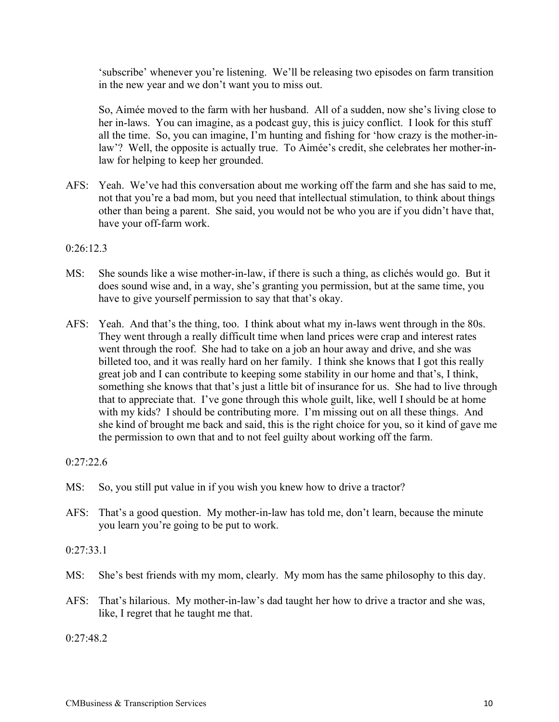'subscribe' whenever you're listening. We'll be releasing two episodes on farm transition in the new year and we don't want you to miss out.

So, Aimée moved to the farm with her husband. All of a sudden, now she's living close to her in-laws. You can imagine, as a podcast guy, this is juicy conflict. I look for this stuff all the time. So, you can imagine, I'm hunting and fishing for 'how crazy is the mother-inlaw'? Well, the opposite is actually true. To Aimée's credit, she celebrates her mother-inlaw for helping to keep her grounded.

AFS: Yeah. We've had this conversation about me working off the farm and she has said to me, not that you're a bad mom, but you need that intellectual stimulation, to think about things other than being a parent. She said, you would not be who you are if you didn't have that, have your off-farm work.

## $0:26:12.3$

- MS: She sounds like a wise mother-in-law, if there is such a thing, as clichés would go. But it does sound wise and, in a way, she's granting you permission, but at the same time, you have to give yourself permission to say that that's okay.
- AFS: Yeah. And that's the thing, too. I think about what my in-laws went through in the 80s. They went through a really difficult time when land prices were crap and interest rates went through the roof. She had to take on a job an hour away and drive, and she was billeted too, and it was really hard on her family. I think she knows that I got this really great job and I can contribute to keeping some stability in our home and that's, I think, something she knows that that's just a little bit of insurance for us. She had to live through that to appreciate that. I've gone through this whole guilt, like, well I should be at home with my kids? I should be contributing more. I'm missing out on all these things. And she kind of brought me back and said, this is the right choice for you, so it kind of gave me the permission to own that and to not feel guilty about working off the farm.

## 0:27:22.6

- MS: So, you still put value in if you wish you knew how to drive a tractor?
- AFS: That's a good question. My mother-in-law has told me, don't learn, because the minute you learn you're going to be put to work.

## 0:27:33.1

- MS: She's best friends with my mom, clearly. My mom has the same philosophy to this day.
- AFS: That's hilarious. My mother-in-law's dad taught her how to drive a tractor and she was, like, I regret that he taught me that.

0:27:48.2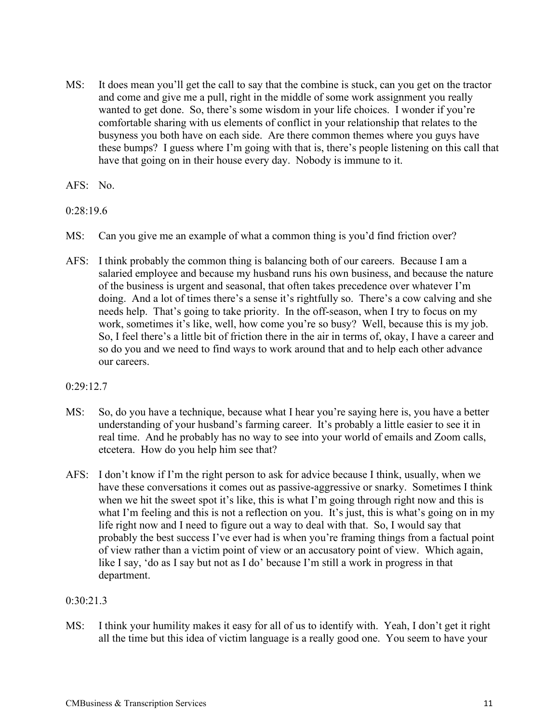- MS: It does mean you'll get the call to say that the combine is stuck, can you get on the tractor and come and give me a pull, right in the middle of some work assignment you really wanted to get done. So, there's some wisdom in your life choices. I wonder if you're comfortable sharing with us elements of conflict in your relationship that relates to the busyness you both have on each side. Are there common themes where you guys have these bumps? I guess where I'm going with that is, there's people listening on this call that have that going on in their house every day. Nobody is immune to it.
- AFS: No.
- 0:28:19.6
- MS: Can you give me an example of what a common thing is you'd find friction over?
- AFS: I think probably the common thing is balancing both of our careers. Because I am a salaried employee and because my husband runs his own business, and because the nature of the business is urgent and seasonal, that often takes precedence over whatever I'm doing. And a lot of times there's a sense it's rightfully so. There's a cow calving and she needs help. That's going to take priority. In the off-season, when I try to focus on my work, sometimes it's like, well, how come you're so busy? Well, because this is my job. So, I feel there's a little bit of friction there in the air in terms of, okay, I have a career and so do you and we need to find ways to work around that and to help each other advance our careers.

## 0:29:12.7

- MS: So, do you have a technique, because what I hear you're saying here is, you have a better understanding of your husband's farming career. It's probably a little easier to see it in real time. And he probably has no way to see into your world of emails and Zoom calls, etcetera. How do you help him see that?
- AFS: I don't know if I'm the right person to ask for advice because I think, usually, when we have these conversations it comes out as passive-aggressive or snarky. Sometimes I think when we hit the sweet spot it's like, this is what I'm going through right now and this is what I'm feeling and this is not a reflection on you. It's just, this is what's going on in my life right now and I need to figure out a way to deal with that. So, I would say that probably the best success I've ever had is when you're framing things from a factual point of view rather than a victim point of view or an accusatory point of view. Which again, like I say, 'do as I say but not as I do' because I'm still a work in progress in that department.

## 0:30:21.3

MS: I think your humility makes it easy for all of us to identify with. Yeah, I don't get it right all the time but this idea of victim language is a really good one. You seem to have your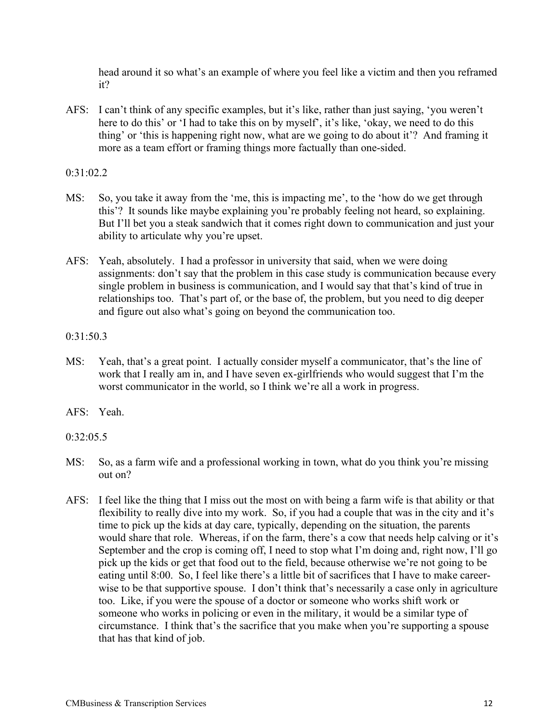head around it so what's an example of where you feel like a victim and then you reframed it?

AFS: I can't think of any specific examples, but it's like, rather than just saying, 'you weren't here to do this' or 'I had to take this on by myself', it's like, 'okay, we need to do this thing' or 'this is happening right now, what are we going to do about it'? And framing it more as a team effort or framing things more factually than one-sided.

0:31:02.2

- MS: So, you take it away from the 'me, this is impacting me', to the 'how do we get through this'? It sounds like maybe explaining you're probably feeling not heard, so explaining. But I'll bet you a steak sandwich that it comes right down to communication and just your ability to articulate why you're upset.
- AFS: Yeah, absolutely. I had a professor in university that said, when we were doing assignments: don't say that the problem in this case study is communication because every single problem in business is communication, and I would say that that's kind of true in relationships too. That's part of, or the base of, the problem, but you need to dig deeper and figure out also what's going on beyond the communication too.

# 0:31:50.3

- MS: Yeah, that's a great point. I actually consider myself a communicator, that's the line of work that I really am in, and I have seven ex-girlfriends who would suggest that I'm the worst communicator in the world, so I think we're all a work in progress.
- AFS: Yeah.

# $0:32:05.5$

- MS: So, as a farm wife and a professional working in town, what do you think you're missing out on?
- AFS: I feel like the thing that I miss out the most on with being a farm wife is that ability or that flexibility to really dive into my work. So, if you had a couple that was in the city and it's time to pick up the kids at day care, typically, depending on the situation, the parents would share that role. Whereas, if on the farm, there's a cow that needs help calving or it's September and the crop is coming off, I need to stop what I'm doing and, right now, I'll go pick up the kids or get that food out to the field, because otherwise we're not going to be eating until 8:00. So, I feel like there's a little bit of sacrifices that I have to make careerwise to be that supportive spouse. I don't think that's necessarily a case only in agriculture too. Like, if you were the spouse of a doctor or someone who works shift work or someone who works in policing or even in the military, it would be a similar type of circumstance. I think that's the sacrifice that you make when you're supporting a spouse that has that kind of job.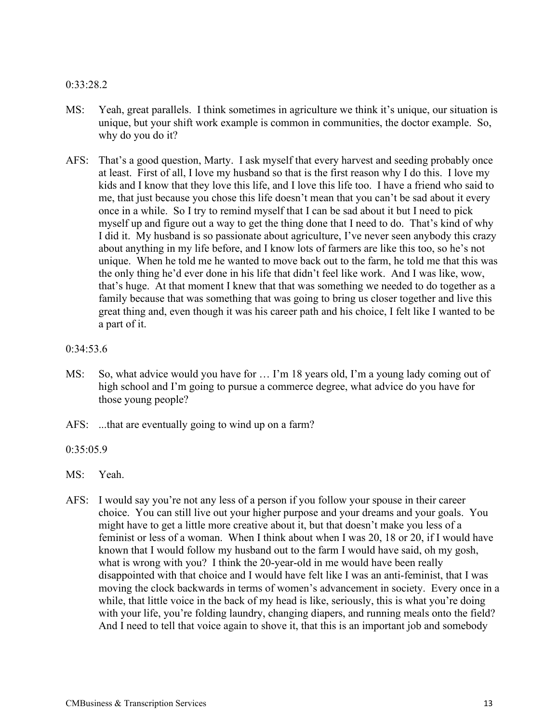# 0:33:28.2

- MS: Yeah, great parallels. I think sometimes in agriculture we think it's unique, our situation is unique, but your shift work example is common in communities, the doctor example. So, why do you do it?
- AFS: That's a good question, Marty. I ask myself that every harvest and seeding probably once at least. First of all, I love my husband so that is the first reason why I do this. I love my kids and I know that they love this life, and I love this life too. I have a friend who said to me, that just because you chose this life doesn't mean that you can't be sad about it every once in a while. So I try to remind myself that I can be sad about it but I need to pick myself up and figure out a way to get the thing done that I need to do. That's kind of why I did it. My husband is so passionate about agriculture, I've never seen anybody this crazy about anything in my life before, and I know lots of farmers are like this too, so he's not unique. When he told me he wanted to move back out to the farm, he told me that this was the only thing he'd ever done in his life that didn't feel like work. And I was like, wow, that's huge. At that moment I knew that that was something we needed to do together as a family because that was something that was going to bring us closer together and live this great thing and, even though it was his career path and his choice, I felt like I wanted to be a part of it.

## 0:34:53.6

- MS: So, what advice would you have for ... I'm 18 years old, I'm a young lady coming out of high school and I'm going to pursue a commerce degree, what advice do you have for those young people?
- AFS: ...that are eventually going to wind up on a farm?

0:35:05.9

MS: Yeah.

AFS: I would say you're not any less of a person if you follow your spouse in their career choice. You can still live out your higher purpose and your dreams and your goals. You might have to get a little more creative about it, but that doesn't make you less of a feminist or less of a woman. When I think about when I was 20, 18 or 20, if I would have known that I would follow my husband out to the farm I would have said, oh my gosh, what is wrong with you? I think the 20-year-old in me would have been really disappointed with that choice and I would have felt like I was an anti-feminist, that I was moving the clock backwards in terms of women's advancement in society. Every once in a while, that little voice in the back of my head is like, seriously, this is what you're doing with your life, you're folding laundry, changing diapers, and running meals onto the field? And I need to tell that voice again to shove it, that this is an important job and somebody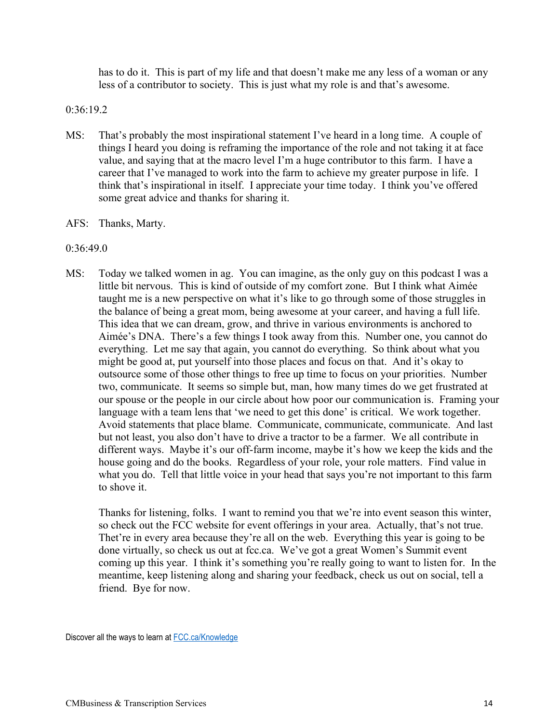has to do it. This is part of my life and that doesn't make me any less of a woman or any less of a contributor to society. This is just what my role is and that's awesome.

0:36:19.2

- MS: That's probably the most inspirational statement I've heard in a long time. A couple of things I heard you doing is reframing the importance of the role and not taking it at face value, and saying that at the macro level I'm a huge contributor to this farm. I have a career that I've managed to work into the farm to achieve my greater purpose in life. I think that's inspirational in itself. I appreciate your time today. I think you've offered some great advice and thanks for sharing it.
- AFS: Thanks, Marty.

0:36:49.0

MS: Today we talked women in ag. You can imagine, as the only guy on this podcast I was a little bit nervous. This is kind of outside of my comfort zone. But I think what Aimée taught me is a new perspective on what it's like to go through some of those struggles in the balance of being a great mom, being awesome at your career, and having a full life. This idea that we can dream, grow, and thrive in various environments is anchored to Aimée's DNA. There's a few things I took away from this. Number one, you cannot do everything. Let me say that again, you cannot do everything. So think about what you might be good at, put yourself into those places and focus on that. And it's okay to outsource some of those other things to free up time to focus on your priorities. Number two, communicate. It seems so simple but, man, how many times do we get frustrated at our spouse or the people in our circle about how poor our communication is. Framing your language with a team lens that 'we need to get this done' is critical. We work together. Avoid statements that place blame. Communicate, communicate, communicate. And last but not least, you also don't have to drive a tractor to be a farmer. We all contribute in different ways. Maybe it's our off-farm income, maybe it's how we keep the kids and the house going and do the books. Regardless of your role, your role matters. Find value in what you do. Tell that little voice in your head that says you're not important to this farm to shove it.

Thanks for listening, folks. I want to remind you that we're into event season this winter, so check out the FCC website for event offerings in your area. Actually, that's not true. Thet're in every area because they're all on the web. Everything this year is going to be done virtually, so check us out at fcc.ca. We've got a great Women's Summit event coming up this year. I think it's something you're really going to want to listen for. In the meantime, keep listening along and sharing your feedback, check us out on social, tell a friend. Bye for now.

Discover all the ways to learn at [FCC.ca/Knowledge](https://www.fcc-fac.ca/en/knowledge.html)